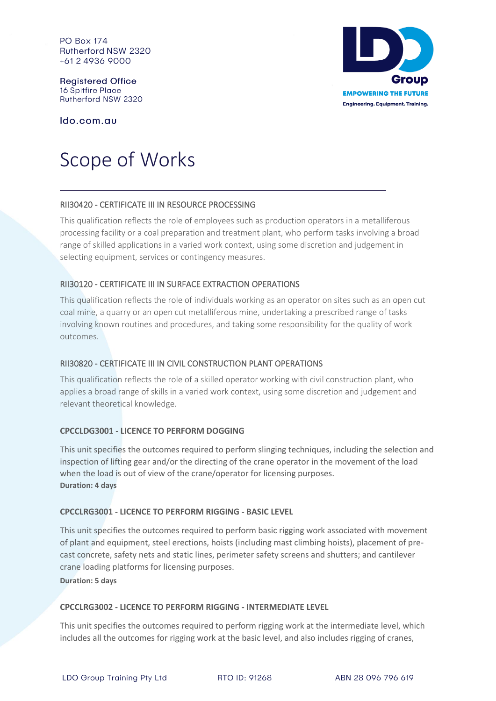**PO Box 174** Rutherford NSW 2320 +61 2 4936 9000

**Registered Office 16 Spitfire Place** Rutherford NSW 2320

Ido.com.au

# Scope of Works

# RII30420 - CERTIFICATE III IN RESOURCE PROCESSING

This qualification reflects the role of employees such as production operators in a metalliferous processing facility or a coal preparation and treatment plant, who perform tasks involving a broad range of skilled applications in a varied work context, using some discretion and judgement in selecting equipment, services or contingency measures.

# RII30120 - CERTIFICATE III IN SURFACE EXTRACTION OPERATIONS

This qualification reflects the role of individuals working as an operator on sites such as an open cut coal mine, a quarry or an open cut metalliferous mine, undertaking a prescribed range of tasks involving known routines and procedures, and taking some responsibility for the quality of work outcomes.

# RII30820 - CERTIFICATE III IN CIVIL CONSTRUCTION PLANT OPERATIONS

This qualification reflects the role of a skilled operator working with civil construction plant, who applies a broad range of skills in a varied work context, using some discretion and judgement and relevant theoretical knowledge.

# **CPCCLDG3001 - LICENCE TO PERFORM DOGGING**

This unit specifies the outcomes required to perform slinging techniques, including the selection and inspection of lifting gear and/or the directing of the crane operator in the movement of the load when the load is out of view of the crane/operator for licensing purposes. **Duration: 4 days**

#### **CPCCLRG3001 - LICENCE TO PERFORM RIGGING - BASIC LEVEL**

This unit specifies the outcomes required to perform basic rigging work associated with movement of plant and equipment, steel erections, hoists (including mast climbing hoists), placement of precast concrete, safety nets and static lines, perimeter safety screens and shutters; and cantilever crane loading platforms for licensing purposes.

**Duration: 5 days**

#### **CPCCLRG3002 - LICENCE TO PERFORM RIGGING - INTERMEDIATE LEVEL**

This unit specifies the outcomes required to perform rigging work at the intermediate level, which includes all the outcomes for rigging work at the basic level, and also includes rigging of cranes,

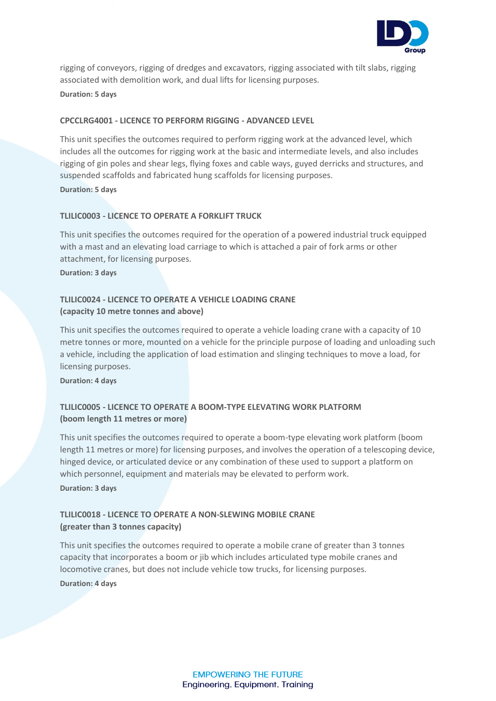

rigging of conveyors, rigging of dredges and excavators, rigging associated with tilt slabs, rigging associated with demolition work, and dual lifts for licensing purposes. **Duration: 5 days**

#### **CPCCLRG4001 - LICENCE TO PERFORM RIGGING - ADVANCED LEVEL**

This unit specifies the outcomes required to perform rigging work at the advanced level, which includes all the outcomes for rigging work at the basic and intermediate levels, and also includes rigging of gin poles and shear legs, flying foxes and cable ways, guyed derricks and structures, and suspended scaffolds and fabricated hung scaffolds for licensing purposes. **Duration: 5 days**

#### **TLILIC0003 - LICENCE TO OPERATE A FORKLIFT TRUCK**

This unit specifies the outcomes required for the operation of a powered industrial truck equipped with a mast and an elevating load carriage to which is attached a pair of fork arms or other attachment, for licensing purposes.

**Duration: 3 days**

# **TLILIC0024 - LICENCE TO OPERATE A VEHICLE LOADING CRANE (capacity 10 metre tonnes and above)**

This unit specifies the outcomes required to operate a vehicle loading crane with a capacity of 10 metre tonnes or more, mounted on a vehicle for the principle purpose of loading and unloading such a vehicle, including the application of load estimation and slinging techniques to move a load, for licensing purposes.

**Duration: 4 days**

# **TLILIC0005 - LICENCE TO OPERATE A BOOM-TYPE ELEVATING WORK PLATFORM (boom length 11 metres or more)**

This unit specifies the outcomes required to operate a boom-type elevating work platform (boom length 11 metres or more) for licensing purposes, and involves the operation of a telescoping device, hinged device, or articulated device or any combination of these used to support a platform on which personnel, equipment and materials may be elevated to perform work. **Duration: 3 days**

# **TLILIC0018 - LICENCE TO OPERATE A NON-SLEWING MOBILE CRANE (greater than 3 tonnes capacity)**

This unit specifies the outcomes required to operate a mobile crane of greater than 3 tonnes capacity that incorporates a boom or jib which includes articulated type mobile cranes and locomotive cranes, but does not include vehicle tow trucks, for licensing purposes.

**Duration: 4 days**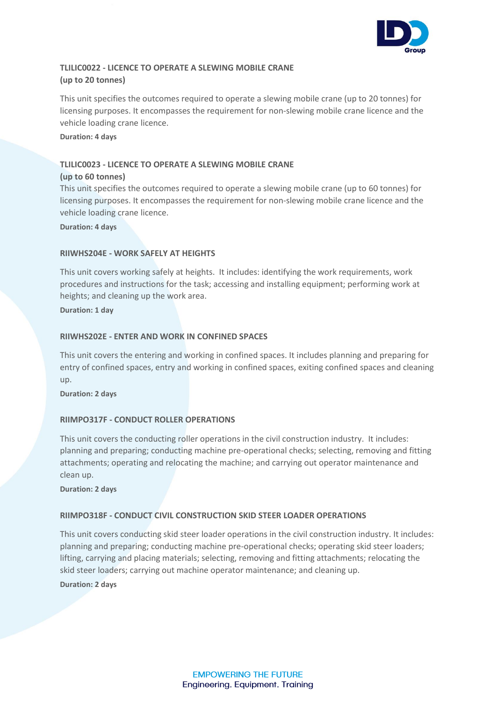

# **TLILIC0022 - LICENCE TO OPERATE A SLEWING MOBILE CRANE (up to 20 tonnes)**

This unit specifies the outcomes required to operate a slewing mobile crane (up to 20 tonnes) for licensing purposes. It encompasses the requirement for non-slewing mobile crane licence and the vehicle loading crane licence.

**Duration: 4 days**

# **TLILIC0023 - LICENCE TO OPERATE A SLEWING MOBILE CRANE**

#### **(up to 60 tonnes)**

This unit specifies the outcomes required to operate a slewing mobile crane (up to 60 tonnes) for licensing purposes. It encompasses the requirement for non-slewing mobile crane licence and the vehicle loading crane licence.

**Duration: 4 days**

#### **RIIWHS204E - WORK SAFELY AT HEIGHTS**

This unit covers working safely at heights. It includes: identifying the work requirements, work procedures and instructions for the task; accessing and installing equipment; performing work at heights; and cleaning up the work area.

**Duration: 1 day**

#### **RIIWHS202E - ENTER AND WORK IN CONFINED SPACES**

This unit covers the entering and working in confined spaces. It includes planning and preparing for entry of confined spaces, entry and working in confined spaces, exiting confined spaces and cleaning up.

**Duration: 2 days**

# **RIIMPO317F - CONDUCT ROLLER OPERATIONS**

This unit covers the conducting roller operations in the civil construction industry. It includes: planning and preparing; conducting machine pre-operational checks; selecting, removing and fitting attachments; operating and relocating the machine; and carrying out operator maintenance and clean up.

**Duration: 2 days**

#### **RIIMPO318F - CONDUCT CIVIL CONSTRUCTION SKID STEER LOADER OPERATIONS**

This unit covers conducting skid steer loader operations in the civil construction industry. It includes: planning and preparing; conducting machine pre-operational checks; operating skid steer loaders; lifting, carrying and placing materials; selecting, removing and fitting attachments; relocating the skid steer loaders; carrying out machine operator maintenance; and cleaning up.

**Duration: 2 days**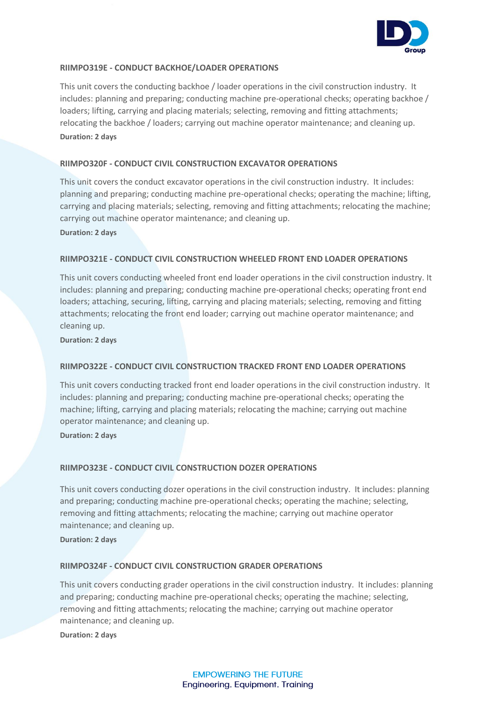

#### **RIIMPO319E - CONDUCT BACKHOE/LOADER OPERATIONS**

This unit covers the conducting backhoe / loader operations in the civil construction industry. It includes: planning and preparing; conducting machine pre-operational checks; operating backhoe / loaders; lifting, carrying and placing materials; selecting, removing and fitting attachments; relocating the backhoe / loaders; carrying out machine operator maintenance; and cleaning up. **Duration: 2 days**

#### **RIIMPO320F - CONDUCT CIVIL CONSTRUCTION EXCAVATOR OPERATIONS**

This unit covers the conduct excavator operations in the civil construction industry. It includes: planning and preparing; conducting machine pre-operational checks; operating the machine; lifting, carrying and placing materials; selecting, removing and fitting attachments; relocating the machine; carrying out machine operator maintenance; and cleaning up.

**Duration: 2 days**

#### **RIIMPO321E - CONDUCT CIVIL CONSTRUCTION WHEELED FRONT END LOADER OPERATIONS**

This unit covers conducting wheeled front end loader operations in the civil construction industry. It includes: planning and preparing; conducting machine pre-operational checks; operating front end loaders; attaching, securing, lifting, carrying and placing materials; selecting, removing and fitting attachments; relocating the front end loader; carrying out machine operator maintenance; and cleaning up.

**Duration: 2 days**

#### **RIIMPO322E - CONDUCT CIVIL CONSTRUCTION TRACKED FRONT END LOADER OPERATIONS**

This unit covers conducting tracked front end loader operations in the civil construction industry. It includes: planning and preparing; conducting machine pre-operational checks; operating the machine; lifting, carrying and placing materials; relocating the machine; carrying out machine operator maintenance; and cleaning up.

**Duration: 2 days**

# **RIIMPO323E - CONDUCT CIVIL CONSTRUCTION DOZER OPERATIONS**

This unit covers conducting dozer operations in the civil construction industry. It includes: planning and preparing; conducting machine pre-operational checks; operating the machine; selecting, removing and fitting attachments; relocating the machine; carrying out machine operator maintenance; and cleaning up.

**Duration: 2 days**

#### **RIIMPO324F - CONDUCT CIVIL CONSTRUCTION GRADER OPERATIONS**

This unit covers conducting grader operations in the civil construction industry. It includes: planning and preparing; conducting machine pre-operational checks; operating the machine; selecting, removing and fitting attachments; relocating the machine; carrying out machine operator maintenance; and cleaning up.

**Duration: 2 days**